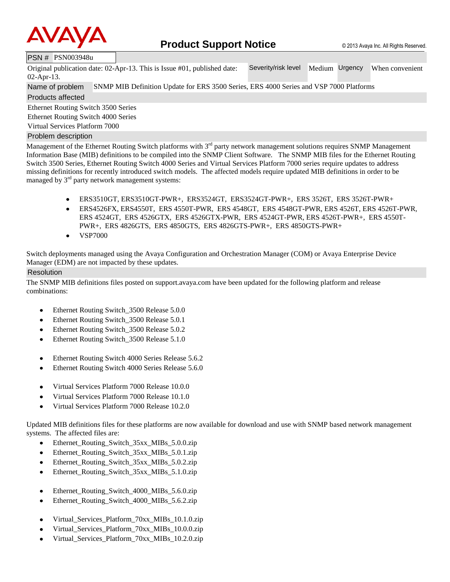

|  | PSN # PSN003948u |
|--|------------------|
|--|------------------|

Original publication date: 02-Apr-13. This is Issue #01, published date: 02-Apr-13. Severity/risk level Medium Urgency When convenient Name of problem SNMP MIB Definition Update for ERS 3500 Series, ERS 4000 Series and VSP 7000 Platforms Products affected

Ethernet Routing Switch 3500 Series Ethernet Routing Switch 4000 Series Virtual Services Platform 7000

## Problem description

Management of the Ethernet Routing Switch platforms with 3<sup>rd</sup> party network management solutions requires SNMP Management Information Base (MIB) definitions to be compiled into the SNMP Client Software. The SNMP MIB files for the Ethernet Routing Switch 3500 Series, Ethernet Routing Switch 4000 Series and Virtual Services Platform 7000 series require updates to address missing definitions for recently introduced switch models. The affected models require updated MIB definitions in order to be managed by  $3<sup>rd</sup>$  party network management systems:

- ERS3510GT, ERS3510GT-PWR+, ERS3524GT, ERS3524GT-PWR+, ERS 3526T, ERS 3526T-PWR+
- ERS4526FX, ERS4550T, ERS 4550T-PWR, ERS 4548GT, ERS 4548GT-PWR, ERS 4526T, ERS 4526T-PWR, ERS 4524GT, ERS 4526GTX, ERS 4526GTX-PWR, ERS 4524GT-PWR, ERS 4526T-PWR+, ERS 4550T-PWR+, ERS 4826GTS, ERS 4850GTS, ERS 4826GTS-PWR+, ERS 4850GTS-PWR+
- VSP7000

Switch deployments managed using the Avaya Configuration and Orchestration Manager (COM) or Avaya Enterprise Device Manager (EDM) are not impacted by these updates.

## Resolution

The SNMP MIB definitions files posted on support.avaya.com have been updated for the following platform and release combinations:

- Ethernet Routing Switch\_3500 Release 5.0.0
- Ethernet Routing Switch\_3500 Release 5.0.1
- Ethernet Routing Switch\_3500 Release 5.0.2
- Ethernet Routing Switch\_3500 Release 5.1.0
- Ethernet Routing Switch 4000 Series Release 5.6.2
- Ethernet Routing Switch 4000 Series Release 5.6.0
- Virtual Services Platform 7000 Release 10.0.0
- Virtual Services Platform 7000 Release 10.1.0
- Virtual Services Platform 7000 Release 10.2.0

Updated MIB definitions files for these platforms are now available for download and use with SNMP based network management systems. The affected files are:

- Ethernet\_Routing\_Switch\_35xx\_MIBs\_5.0.0.zip
- Ethernet\_Routing\_Switch\_35xx\_MIBs\_5.0.1.zip
- Ethernet Routing Switch 35xx MIBs 5.0.2.zip
- Ethernet\_Routing\_Switch\_35xx\_MIBs\_5.1.0.zip
- Ethernet Routing Switch 4000 MIBs 5.6.0.zip
- Ethernet Routing Switch 4000 MIBs 5.6.2.zip
- Virtual\_Services\_Platform\_70xx\_MIBs\_10.1.0.zip
- Virtual\_Services\_Platform\_70xx\_MIBs\_10.0.0.zip
- Virtual\_Services\_Platform\_70xx\_MIBs\_10.2.0.zip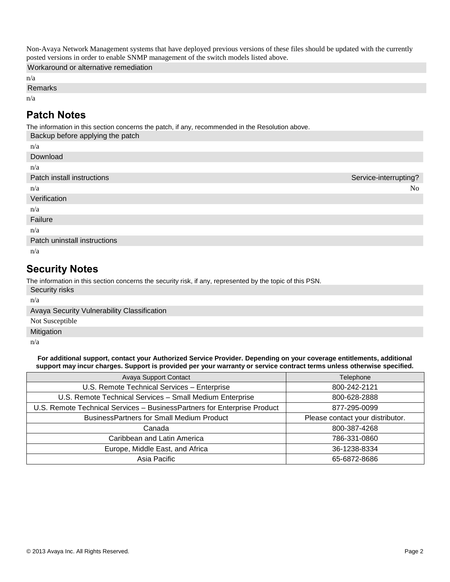Non-Avaya Network Management systems that have deployed previous versions of these files should be updated with the currently posted versions in order to enable SNMP management of the switch models listed above.

Workaround or alternative remediation

n/a

Remarks

n/a

## **Patch Notes**

The information in this section concerns the patch, if any, recommended in the Resolution above.

Backup before applying the patch

| n/a                          |                       |
|------------------------------|-----------------------|
| Download                     |                       |
| n/a                          |                       |
| Patch install instructions   | Service-interrupting? |
| n/a                          | N <sub>o</sub>        |
| Verification                 |                       |
| n/a                          |                       |
| Failure                      |                       |
| n/a                          |                       |
| Patch uninstall instructions |                       |
| n/a                          |                       |
|                              |                       |

## **Security Notes**

The information in this section concerns the security risk, if any, represented by the topic of this PSN.

Security risks

n/a

Avaya Security Vulnerability Classification

Not Susceptible

Mitigation

n/a

**For additional support, contact your Authorized Service Provider. Depending on your coverage entitlements, additional support may incur charges. Support is provided per your warranty or service contract terms unless otherwise specified.**

| <b>Avaya Support Contact</b>                                             | Telephone                        |
|--------------------------------------------------------------------------|----------------------------------|
| U.S. Remote Technical Services - Enterprise                              | 800-242-2121                     |
| U.S. Remote Technical Services - Small Medium Enterprise                 | 800-628-2888                     |
| U.S. Remote Technical Services - BusinessPartners for Enterprise Product | 877-295-0099                     |
| <b>BusinessPartners for Small Medium Product</b>                         | Please contact your distributor. |
| Canada                                                                   | 800-387-4268                     |
| Caribbean and Latin America                                              | 786-331-0860                     |
| Europe, Middle East, and Africa                                          | 36-1238-8334                     |
| Asia Pacific                                                             | 65-6872-8686                     |